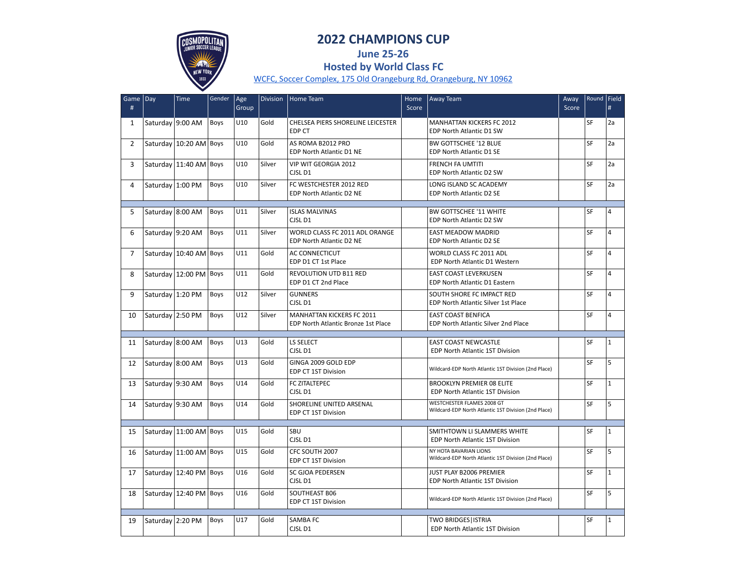

## **2022 CHAMPIONS CUP**

**June 25-26 Hosted by World Class FC**

[WCFC, Soccer Complex, 175 Old Orangeburg Rd, Orangeburg, NY 10962](https://goo.gl/maps/bFvV5SywwjJiZPss8)

| Game Day<br>#  |                  | Time                   | Gender | Age<br>Group | <b>Division</b> | Home Team                                                               | Home<br>Score | Away Team                                                                          | Away<br>Score | Round   Field | #              |
|----------------|------------------|------------------------|--------|--------------|-----------------|-------------------------------------------------------------------------|---------------|------------------------------------------------------------------------------------|---------------|---------------|----------------|
| $\mathbf{1}$   | Saturday 9:00 AM |                        | Boys   | U10          | Gold            | CHELSEA PIERS SHORELINE LEICESTER<br><b>EDP CT</b>                      |               | <b>MANHATTAN KICKERS FC 2012</b><br>EDP North Atlantic D1 SW                       |               | SF            | 2a             |
| $\overline{2}$ |                  | Saturday 10:20 AM      | Boys   | U10          | Gold            | AS ROMA B2012 PRO<br><b>EDP North Atlantic D1 NE</b>                    |               | BW GOTTSCHEE '12 BLUE<br>EDP North Atlantic D1 SE                                  |               | <b>SF</b>     | 2a             |
| 3              |                  | Saturday 11:40 AM Boys |        | U10          | Silver          | VIP WIT GEORGIA 2012<br>CJSL D1                                         |               | <b>FRENCH FA UMTITI</b><br>EDP North Atlantic D2 SW                                |               | SF            | 2a             |
| 4              | Saturday 1:00 PM |                        | Boys   | U10          | Silver          | FC WESTCHESTER 2012 RED<br>EDP North Atlantic D2 NE                     |               | LONG ISLAND SC ACADEMY<br>EDP North Atlantic D2 SE                                 |               | SF            | 2a             |
| 5              | Saturday 8:00 AM |                        | Boys   | U11          | Silver          | <b>ISLAS MALVINAS</b><br>CJSL D1                                        |               | <b>BW GOTTSCHEE '11 WHITE</b><br>EDP North Atlantic D2 SW                          |               | <b>SF</b>     | $\overline{4}$ |
| 6              | Saturday 9:20 AM |                        | Boys   | U11          | Silver          | WORLD CLASS FC 2011 ADL ORANGE<br>EDP North Atlantic D2 NE              |               | EAST MEADOW MADRID<br>EDP North Atlantic D2 SE                                     |               | SF            | $\overline{4}$ |
| $\overline{7}$ |                  | Saturday 10:40 AM Boys |        | U11          | Gold            | <b>AC CONNECTICUT</b><br>EDP D1 CT 1st Place                            |               | WORLD CLASS FC 2011 ADL<br>EDP North Atlantic D1 Western                           |               | SF            | $\overline{4}$ |
| 8              |                  | Saturday 12:00 PM      | Boys   | U11          | Gold            | <b>REVOLUTION UTD B11 RED</b><br>EDP D1 CT 2nd Place                    |               | <b>EAST COAST LEVERKUSEN</b><br>EDP North Atlantic D1 Eastern                      |               | SF            | $\overline{4}$ |
| 9              | Saturday 1:20 PM |                        | Boys   | U12          | Silver          | <b>GUNNERS</b><br>CJSL D1                                               |               | SOUTH SHORE FC IMPACT RED<br>EDP North Atlantic Silver 1st Place                   |               | SF            | $\overline{4}$ |
| 10             | Saturday 2:50 PM |                        | Boys   | U12          | Silver          | <b>MANHATTAN KICKERS FC 2011</b><br>EDP North Atlantic Bronze 1st Place |               | <b>EAST COAST BENFICA</b><br>EDP North Atlantic Silver 2nd Place                   |               | SF            | $\overline{4}$ |
| 11             | Saturday 8:00 AM |                        | Boys   | U13          | Gold            | <b>LS SELECT</b><br>CJSL D1                                             |               | <b>EAST COAST NEWCASTLE</b><br><b>EDP North Atlantic 1ST Division</b>              |               | SF            | $\mathbf{1}$   |
| 12             | Saturday 8:00 AM |                        | Boys   | U13          | Gold            | GINGA 2009 GOLD EDP<br><b>EDP CT 1ST Division</b>                       |               | Wildcard-EDP North Atlantic 1ST Division (2nd Place)                               |               | SF            | 5              |
| 13             | Saturday 9:30 AM |                        | Boys   | U14          | Gold            | FC ZITALTEPEC<br>CJSL D1                                                |               | <b>BROOKLYN PREMIER 08 ELITE</b><br>EDP North Atlantic 1ST Division                |               | SF            | $\mathbf{1}$   |
| 14             | Saturday 9:30 AM |                        | Boys   | U14          | Gold            | SHORELINE UNITED ARSENAL<br>EDP CT 1ST Division                         |               | WESTCHESTER FLAMES 2008 GT<br>Wildcard-EDP North Atlantic 1ST Division (2nd Place) |               | SF            | 5              |
| 15             |                  | Saturday 11:00 AM Boys |        | U15          | Gold            | <b>SBU</b><br>CJSL D1                                                   |               | SMITHTOWN LI SLAMMERS WHITE<br><b>EDP North Atlantic 1ST Division</b>              |               | <b>SF</b>     | $\mathbf{1}$   |
| 16             |                  | Saturday 11:00 AM Boys |        | U15          | Gold            | CFC SOUTH 2007<br><b>EDP CT 1ST Division</b>                            |               | NY HOTA BAVARIAN LIONS<br>Wildcard-EDP North Atlantic 1ST Division (2nd Place)     |               | <b>SF</b>     | 5              |
| 17             |                  | Saturday 12:40 PM Boys |        | U16          | Gold            | SC GJOA PEDERSEN<br>CJSL D1                                             |               | JUST PLAY B2006 PREMIER<br>EDP North Atlantic 1ST Division                         |               | <b>SF</b>     | $\mathbf{1}$   |
| 18             |                  | Saturday 12:40 PM Boys |        | U16          | Gold            | <b>SOUTHEAST B06</b><br><b>EDP CT 1ST Division</b>                      |               | Wildcard-EDP North Atlantic 1ST Division (2nd Place)                               |               | <b>SF</b>     | 5              |
| 19             | Saturday 2:20 PM |                        | Boys   | U17          | Gold            | SAMBA FC<br>CJSL D1                                                     |               | <b>TWO BRIDGES   ISTRIA</b><br><b>EDP North Atlantic 1ST Division</b>              |               | SF            | $\mathbf{1}$   |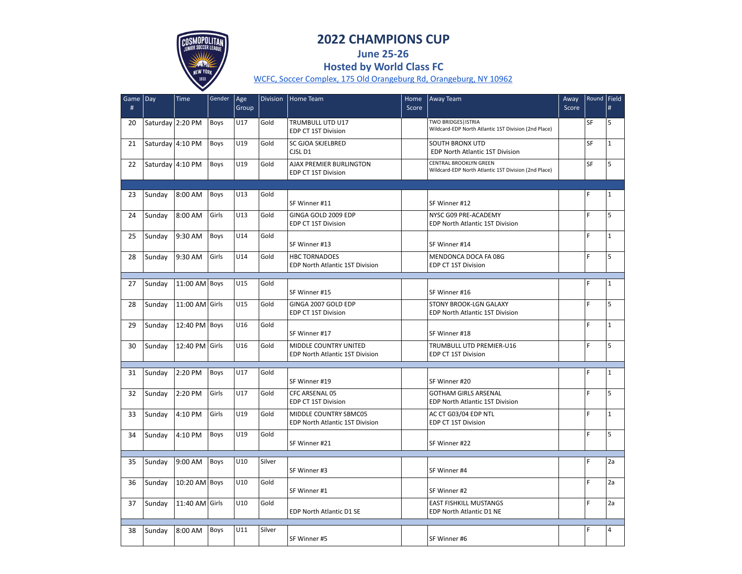

## **2022 CHAMPIONS CUP**

**June 25-26 Hosted by World Class FC**

[WCFC, Soccer Complex, 175 Old Orangeburg Rd, Orangeburg, NY 10962](https://goo.gl/maps/bFvV5SywwjJiZPss8)

| Game<br># | Day              | Time            | Gender | Age<br>Group | <b>Division</b> | Home Team                                                       | Home<br>Score | Away Team                                                                             | Away<br>Score | Round   Field | $\#$         |
|-----------|------------------|-----------------|--------|--------------|-----------------|-----------------------------------------------------------------|---------------|---------------------------------------------------------------------------------------|---------------|---------------|--------------|
| 20        | Saturday 2:20 PM |                 | Boys   | U17          | Gold            | <b>TRUMBULL UTD U17</b><br>EDP CT 1ST Division                  |               | <b>TWO BRIDGES   ISTRIA</b><br>Wildcard-EDP North Atlantic 1ST Division (2nd Place)   |               | SF            | 5            |
| 21        | Saturday 4:10 PM |                 | Boys   | U19          | Gold            | SC GJOA SKJELBRED<br>CJSL D1                                    |               | <b>SOUTH BRONX UTD</b><br>EDP North Atlantic 1ST Division                             |               | SF            | $\mathbf{1}$ |
| 22        | Saturday 4:10 PM |                 | Boys   | U19          | Gold            | AJAX PREMIER BURLINGTON<br>EDP CT 1ST Division                  |               | <b>CENTRAL BROOKLYN GREEN</b><br>Wildcard-EDP North Atlantic 1ST Division (2nd Place) |               | SF            | 5            |
|           |                  |                 |        |              |                 |                                                                 |               |                                                                                       |               |               |              |
| 23        | Sunday           | 8:00 AM         | Boys   | U13          | Gold            | SF Winner #11                                                   |               | SF Winner #12                                                                         |               | F             | $\mathbf{1}$ |
| 24        | Sunday           | 8:00 AM         | Girls  | U13          | Gold            | GINGA GOLD 2009 EDP<br><b>EDP CT 1ST Division</b>               |               | NYSC G09 PRE-ACADEMY<br>EDP North Atlantic 1ST Division                               |               | F             | 5            |
| 25        | Sunday           | 9:30 AM         | Boys   | U14          | Gold            | SF Winner #13                                                   |               | SF Winner #14                                                                         |               | Ë             | $\mathbf{1}$ |
| 28        | Sunday           | 9:30 AM         | Girls  | U14          | Gold            | <b>HBC TORNADOES</b><br>EDP North Atlantic 1ST Division         |               | MENDONCA DOCA FA 08G<br>EDP CT 1ST Division                                           |               | F             | 5            |
|           |                  |                 |        |              |                 |                                                                 |               |                                                                                       |               |               |              |
| 27        | Sunday           | $11:00$ AM Boys |        | U15          | Gold            | SF Winner #15                                                   |               | SF Winner #16                                                                         |               | F             | $\mathbf{1}$ |
| 28        | Sunday           | 11:00 AM Girls  |        | U15          | Gold            | GINGA 2007 GOLD EDP<br><b>EDP CT 1ST Division</b>               |               | STONY BROOK-LGN GALAXY<br>EDP North Atlantic 1ST Division                             |               | F             | 5            |
| 29        | Sunday           | 12:40 PM        | Boys   | U16          | Gold            | SF Winner #17                                                   |               | SF Winner #18                                                                         |               | F             | $\mathbf{1}$ |
| 30        | Sunday           | 12:40 PM Girls  |        | U16          | Gold            | MIDDLE COUNTRY UNITED<br><b>EDP North Atlantic 1ST Division</b> |               | <b>TRUMBULL UTD PREMIER-U16</b><br>EDP CT 1ST Division                                |               | F             | 5            |
|           |                  |                 |        |              |                 |                                                                 |               |                                                                                       |               |               |              |
| 31        | Sunday           | 2:20 PM         | Boys   | U17          | Gold            | SF Winner #19                                                   |               | SF Winner #20                                                                         |               | F             | $\mathbf{1}$ |
| 32        | Sunday           | 2:20 PM         | Girls  | U17          | Gold            | CFC ARSENAL 05<br>EDP CT 1ST Division                           |               | <b>GOTHAM GIRLS ARSENAL</b><br>EDP North Atlantic 1ST Division                        |               | F             | 5            |
| 33        | Sunday           | 4:10 PM         | Girls  | U19          | Gold            | MIDDLE COUNTRY SBMC05<br>EDP North Atlantic 1ST Division        |               | AC CT G03/04 EDP NTL<br>EDP CT 1ST Division                                           |               | F             | $\mathbf{1}$ |
| 34        | Sunday           | 4:10 PM         | Boys   | U19          | Gold            | SF Winner #21                                                   |               | SF Winner #22                                                                         |               | Ë             | 5            |
|           |                  |                 |        |              |                 |                                                                 |               |                                                                                       |               |               |              |
| 35        | Sunday           | 9:00 AM         | Boys   | U10          | Silver          | SF Winner #3                                                    |               | SF Winner #4                                                                          |               | F             | 2a           |
| 36        | Sunday           | 10:20 AM Boys   |        | U10          | Gold            | SF Winner #1                                                    |               | SF Winner #2                                                                          |               | F             | 2a           |
| 37        | Sunday           | 11:40 AM Girls  |        | U10          | Gold            | EDP North Atlantic D1 SE                                        |               | <b>EAST FISHKILL MUSTANGS</b><br>EDP North Atlantic D1 NE                             |               | F             | 2a           |
|           |                  |                 |        |              |                 |                                                                 |               |                                                                                       |               |               |              |
| 38        | Sunday           | 8:00 AM         | Boys   | U11          | Silver          | SF Winner #5                                                    |               | SF Winner #6                                                                          |               | F             | 4            |